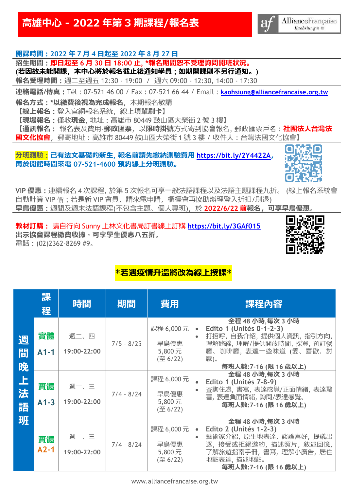# **高雄中心 - 2022 年第 3 期課程/報名表**



## **開課時間 : 2022 年 7 月 4 日起至 2022 年 8 月 27 日**

**招生期間 : 即日起至 6 月 30 日 18:00 止, \*報名期間恕不受理詢問開班狀況。**

**(若因故未能開課,本中心將於報名截止後通知學員 ; 如期開課則不另行通知。)** 

**報名受理時間 :** 週二至週五 12:30 - 19:00 / 週六 09:00 - 12:30, 14:00 - 17:30

**連絡電話/傳真 :** Tél : 07-521 46 00 / Fax : 07-521 66 44 / Email : **[kaohsiung@alliancefrancaise.org.tw](mailto:kaohsiung@alliancefrancaise.org.tw)**

**報名方式 : \*以繳費後視為完成報名**,本期報名敬請

**【線上報名 :** 登入官網報名系統,線上填單**刷卡】**

**【現場報名 :** 僅收**現金**, 地址 : 高雄市 80449 鼓山區大榮街 2 號 3 樓**】**

**【通訊報名 :** 報名表及費用-**郵政匯票**,以**限時掛號**方式寄到協會報名, 郵政匯票戶名 : **社團法人台灣法 國文化協會**,郵寄地址 : 高雄市 80449 鼓山區大榮街 1 號 3 樓 / 收件人 : 台灣法國文化協會**】**

### **分班測驗 : 已有法文基礎的新生, 報名前請先繳納測驗費用 <https://bit.ly/2Y4422A>, 再於開館時間來電 07-521-4600 預約線上分班測驗。**



**VIP 優惠 :** 連續報名 4 次課程, 於第 5 次報名可享一般法語課程以及法語主題課程九折。 (線上報名系統會 自動計算 VIP 價: 若是新 VIP 會員, 請來電申請, 櫃檯會再協助辦理登入折扣/刷退) **早鳥優惠 :** 週間及週末法語課程(不包含主題、個人專班),於 **2022/6/22 前報名,可享早鳥優惠**。

**教材訂購 :** 請自行向 Sunny 上林文化書局訂書線上訂購 **<https://bit.ly/3GAf015> 出示協會課程繳費收據**,**可享學生優惠八五折**。 電話 : (02)2362-8269 #9。



## **\*若遇疫情升溫將改為線上授課\***

|             | 課<br>程       | 時間                  | 期間           | 費用                                                        | 課程內容                                                                                                                                                                                 |
|-------------|--------------|---------------------|--------------|-----------------------------------------------------------|--------------------------------------------------------------------------------------------------------------------------------------------------------------------------------------|
| 週<br>間<br>晚 | 實體<br>$A1-1$ | 週二、四<br>19:00-22:00 | $7/5 - 8/25$ | 課程 6,000元<br>早鳥優惠<br>5,800元<br>$($ $\Xi$ 6/22)            | 全程 48 小時,每次 3 小時<br>Edito 1 (Unités 0-1-2-3)<br>$\bullet$<br>打招呼, 自我介紹, 提供個人資訊, 指引方向,<br>$\bullet$<br>理解路線,理解/提供開放時間,採買,預訂餐<br>廳、咖啡廳, 表達一些味道 (愛、喜歡、討<br>厭)。<br>每班人數: 7-16 (限 16 歲以上) |
| 上法<br>語     | 實體<br>$A1-3$ | 週一、三<br>19:00-22:00 | $7/4 - 8/24$ | 課程 6,000元<br>早鳥優惠<br>5,800元<br>$($ $\overline{\Xi}$ 6/22) | 全程 48 小時,每次 3 小時<br>Edito 1 (Unités 7-8-9)<br>查詢住處, 書寫, 表達感覺/正面情緒, 表達驚<br>喜,表達負面情緒,詢問/表達感覺。<br>每班人數: 7-16 (限 16 歲以上)                                                                 |
| 班           | 實體<br>$A2-1$ | 週一、三<br>19:00-22:00 | $7/4 - 8/24$ | 課程 6,000元<br>早鳥優惠<br>5,800元<br>$($ $\overline{\Xi}$ 6/22) | 全程 48 小時,每次 3 小時<br>Edito 2 (Unités 1-2-3)<br>$\bullet$<br>藝術家介紹,原生地表達,談論喜好,提議出<br>$\bullet$<br>逐,接受或拒絕邀約,描述照片,敘述回憶,<br>了解旅遊指南手冊,書寫,理解小廣告,居住<br>地點表達, 描述地點。<br>每班人數: 7-16 (限 16 歲以上) |

www.alliancefrancaise.org.tw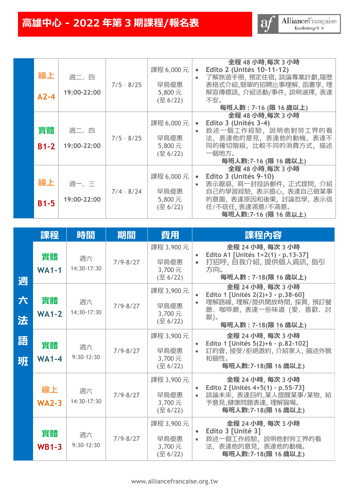| 線上<br>$A2-4$ | 週二、四<br>19:00-22:00 | $7/5 - 8/25$ | 課程 6,000元<br>早鳥優惠<br>5,800元<br>$($ $\overline{\Xi}$ 6/22)  | 全程 48 小時,每次 3 小時<br>Edito 2 (Unités 10-11-12)<br>$\bullet$<br>了解旅遊手冊, 預定住宿, 談論專業計劃,履歷<br>表格式介紹,簡單的招聘啟事理解, 函書享, 理<br>解宣傳標語,介紹活動/事件,說明選擇,表達<br>不安。<br>每班人數: 7-16 (限 16 歲以上)     |
|--------------|---------------------|--------------|------------------------------------------------------------|-------------------------------------------------------------------------------------------------------------------------------------------------------------------------------|
| 實體<br>$B1-2$ | 週二、四<br>19:00-22:00 | $7/5 - 8/25$ | 課程 6,000元<br>早鳥優惠<br>5,800元<br>$($ $\overline{\pm}$ 6/22)  | 全程 48 小時,每次 3 小時<br>Edito 3 (Unités 3-4)<br>$\bullet$<br>敘述一個工作經驗,說明他對勞工界的看<br>$\bullet$<br>法, 表達他的意見, 表達他的動機, 表達不<br>同的確切階級,比較不同的消費方式,描述<br>一個地方。<br>每班人數: 7-16 (限 16 歲以上)   |
| 線上<br>$B1-5$ | 週一、三<br>19:00-22:00 | $7/4 - 8/24$ | 課程 6,000 元<br>早鳥優惠<br>5,800元<br>$($ $\overline{\Xi}$ 6/22) | 全程 48 小時,每次 3 小時<br>Edito 3 (Unités 9-10)<br>$\bullet$<br>表示厭惡,寫一封投訴郵件,正式提問,介紹<br>自己的學習經驗,表示擔心,表達自己做某事<br>的意圖, 表達原因和後果, 討論哲學, 表示信<br>任/不信任,表達滿意/不滿意。<br>每班人數: 7-16 (限 16 歲以上) |

|        | 課程                 | 時間                 | 期間           | 費用                                                        | 課程內容                                                                                                                                                     |
|--------|--------------------|--------------------|--------------|-----------------------------------------------------------|----------------------------------------------------------------------------------------------------------------------------------------------------------|
| 週      | 實體<br><b>WA1-1</b> | 週六<br>14:30-17:30  | $7/9 - 8/27$ | 課程 3,900 元<br>早鳥優惠<br>3,700元<br>(至 6/22)                  | 全程 24 小時, 每次 3 小時<br>Edito A1 [Unités 1+2(1) - p.13-37]<br>$\bullet$<br>打招呼, 自我介紹, 提供個人資訊, 指引<br>$\bullet$<br>方向。<br>每班人數: 7-18(限 16 歲以上)                |
| 六<br>法 | 實體<br>$WA1-2$      | 週六<br>14:30-17:30  | $7/9 - 8/27$ | 課程 3,900元<br>早鳥優惠<br>3,700元<br>(至 6/22)                   | 全程 24 小時, 每次 3 小時<br>Edito 1 [Unités 2(2)+3 - p.38-60]<br>理解路線,理解/提供開放時間,採買,預訂餐<br>$\bullet$<br>廳、咖啡廳, 表達一些味道 (愛、喜歡、討<br>厭)。<br>每班人數: 7-18(限 16 歲以上)     |
| 語<br>班 | 實體<br>$WA1-4$      | 週六<br>$9:30-12:30$ | $7/9 - 8/27$ | 課程 3,900元<br>早鳥優惠<br>3,700元<br>$($ $\overline{\Xi}$ 6/22) | 全程 24 小時, 每次 3 小時<br>Edito 1 [Unités 5(2)+6 - p.82-102]<br>訂約會, 接受/拒絕邀約, 介紹家人, 描述外貌<br>$\bullet$<br>和個性。<br>每班人數: 7-18 (限 16 歲以上)                        |
|        | 線上<br><b>WA2-3</b> | 週六<br>14:30-17:30  | $7/9 - 8/27$ | 課程 3,900元<br>早鳥優惠<br>3,700元<br>(至 6/22)                   | 全程 24 小時, 每次 3 小時<br>Edito 2 [Unités 4+5(1) - p.55-73]<br>$\bullet$<br>談論未來, 表達目的,某人提醒某事/某物, 給<br>$\bullet$<br>予意見,健康問題表達,理解醫囑。<br>每班人數: 7-18 (限 16 歲以上) |
|        | 實體<br>$WB1-3$      | 週六<br>$9:30-12:30$ | $7/9 - 8/27$ | 課程 3,900元<br>早鳥優惠<br>3,700元<br>(至 6/22)                   | 全程 24 小時, 每次 3 小時<br>Edito 3 [Unité 3]<br>$\bullet$<br>敘述一個工作經驗,說明他對勞工界的看<br>$\bullet$<br>法, 表達他的意見, 表達他的動機。<br>每班人數: 7-18 (限 16 歲以上)                    |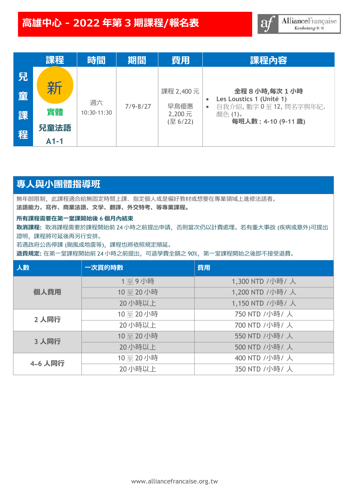|             | 課程      | 時間                | 期間           | 費用                                      | 課程內容                                                                                                             |
|-------------|---------|-------------------|--------------|-----------------------------------------|------------------------------------------------------------------------------------------------------------------|
| 兒<br>童<br>課 | 新<br>實體 | 週六<br>10:30-11:30 | $7/9 - 8/27$ | 課程 2,400元<br>早鳥優惠<br>2,200元<br>(至 6/22) | 全程8小時,每次1小時<br>Les Loustics 1 (Unité 1)<br>自我介紹, 數字 0至 12, 問名字與年紀.<br>$\bullet$<br>顏色 (1)。<br>每班人數: 4-10 (9-11歲) |
| 程           | 兒童法語    |                   |              |                                         |                                                                                                                  |
|             | $A1-1$  |                   |              |                                         |                                                                                                                  |

## **專人與小團體指導班**

無年齡限制,此課程適合給無固定時間上課、指定個人或是偏好教材或想要在專業領域上進修法語者。 **法語能力、寫作、商業法語、文學、翻譯、外交特考、等專業課程。**

#### **所有課程需要在第一堂課開始後 6 個月內結束**

**取消課程:** 取消課程需要於課程開始前 24 小時之前提出申請,否則當次仍以計費處理。若有重大事故 (疾病或意外)可提出 證明,課程將可延後再另行安排。

若遇政府公告停課 (颱風或地震等),課程也將依照規定順延。

**退費規定:** 在第一堂課程開始前 24 小時之前提出,可退學費全額之 90%,第一堂課程開始之後即不接受退費。

| 人數      | 一次買的時數  | 費用              |  |  |  |  |  |
|---------|---------|-----------------|--|--|--|--|--|
|         | 1至9小時   | 1,300 NTD /小時/人 |  |  |  |  |  |
| 個人費用    | 10至20小時 | 1,200 NTD /小時/人 |  |  |  |  |  |
|         | 20小時以上  | 1,150 NTD /小時/人 |  |  |  |  |  |
| 2人同行    | 10至20小時 | 750 NTD /小時/人   |  |  |  |  |  |
|         | 20小時以上  | 700 NTD /小時/人   |  |  |  |  |  |
| 3 人同行   | 10至20小時 | 550 NTD /小時/人   |  |  |  |  |  |
|         | 20小時以上  | 500 NTD /小時/人   |  |  |  |  |  |
| 4~6 人同行 | 10至20小時 | 400 NTD /小時/人   |  |  |  |  |  |
|         | 20小時以上  | 350 NTD /小時/人   |  |  |  |  |  |